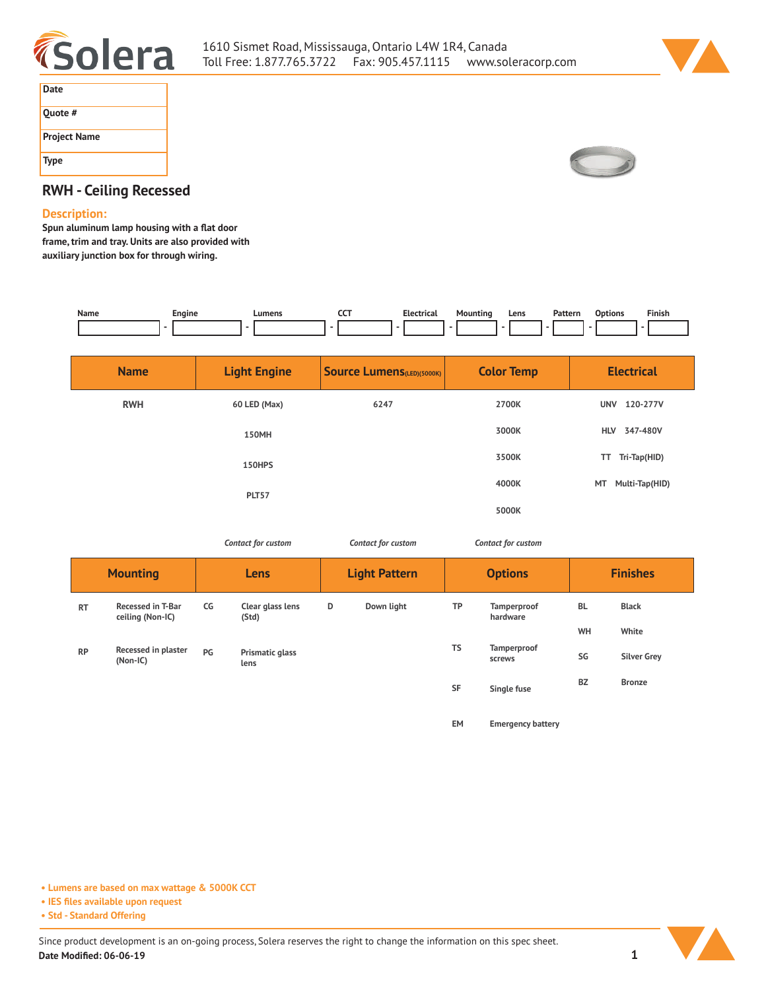



| Date                |  |
|---------------------|--|
| Quote #             |  |
| <b>Project Name</b> |  |
| <b>Type</b>         |  |



## **RWH - Ceiling Recessed**

## **Description:**

**Spun aluminum lamp housing with a flat door frame, trim and tray. Units are also provided with auxiliary junction box for through wiring.** 

| Name | Engine | Lumens | ---<br>$\tilde{}$<br>___ | Electrical | Mountina<br>. | Lens | Pattern | Finish |
|------|--------|--------|--------------------------|------------|---------------|------|---------|--------|
|      |        |        |                          |            |               |      |         |        |

| <b>Name</b> | <b>Light Engine</b> | <b>Source Lumens</b> (LED)(5000K) | <b>Color Temp</b> | <b>Electrical</b>      |
|-------------|---------------------|-----------------------------------|-------------------|------------------------|
| <b>RWH</b>  | 60 LED (Max)        | 6247                              | 2700K             | 120-277V<br><b>UNV</b> |
|             | <b>150MH</b>        |                                   | 3000K             | 347-480V<br><b>HLV</b> |
|             | 150HPS              |                                   | 3500K             | Tri-Tap(HID)<br>TT     |
|             | PLT57               |                                   | 4000K             | MT<br>Multi-Tap(HID)   |
|             |                     |                                   | 5000K             |                        |

*Contact for custom Contact for custom*

*Contact for custom*

**EM Emergency battery**

|           | <b>Mounting</b>                              |    | Lens                      | <b>Light Pattern</b> |            | <b>Options</b> |                         | <b>Finishes</b> |                    |  |
|-----------|----------------------------------------------|----|---------------------------|----------------------|------------|----------------|-------------------------|-----------------|--------------------|--|
| <b>RT</b> | <b>Recessed in T-Bar</b><br>ceiling (Non-IC) | CG | Clear glass lens<br>(Std) | D                    | Down light | ТP             | Tamperproof<br>hardware | <b>BL</b>       | <b>Black</b>       |  |
|           |                                              |    |                           |                      |            |                |                         | WH              | White              |  |
| <b>RP</b> | Recessed in plaster<br>(Non-IC)              | PG | Prismatic glass<br>lens   |                      |            | TS             | Tamperproof<br>screws   | SG              | <b>Silver Grey</b> |  |
|           |                                              |    |                           |                      |            | <b>SF</b>      | Single fuse             | <b>BZ</b>       | <b>Bronze</b>      |  |
|           |                                              |    |                           |                      |            |                |                         |                 |                    |  |

**• Lumens are based on max wattage & 5000K CCT**

**• IES files available upon request**

**• Std - Standard Offering**